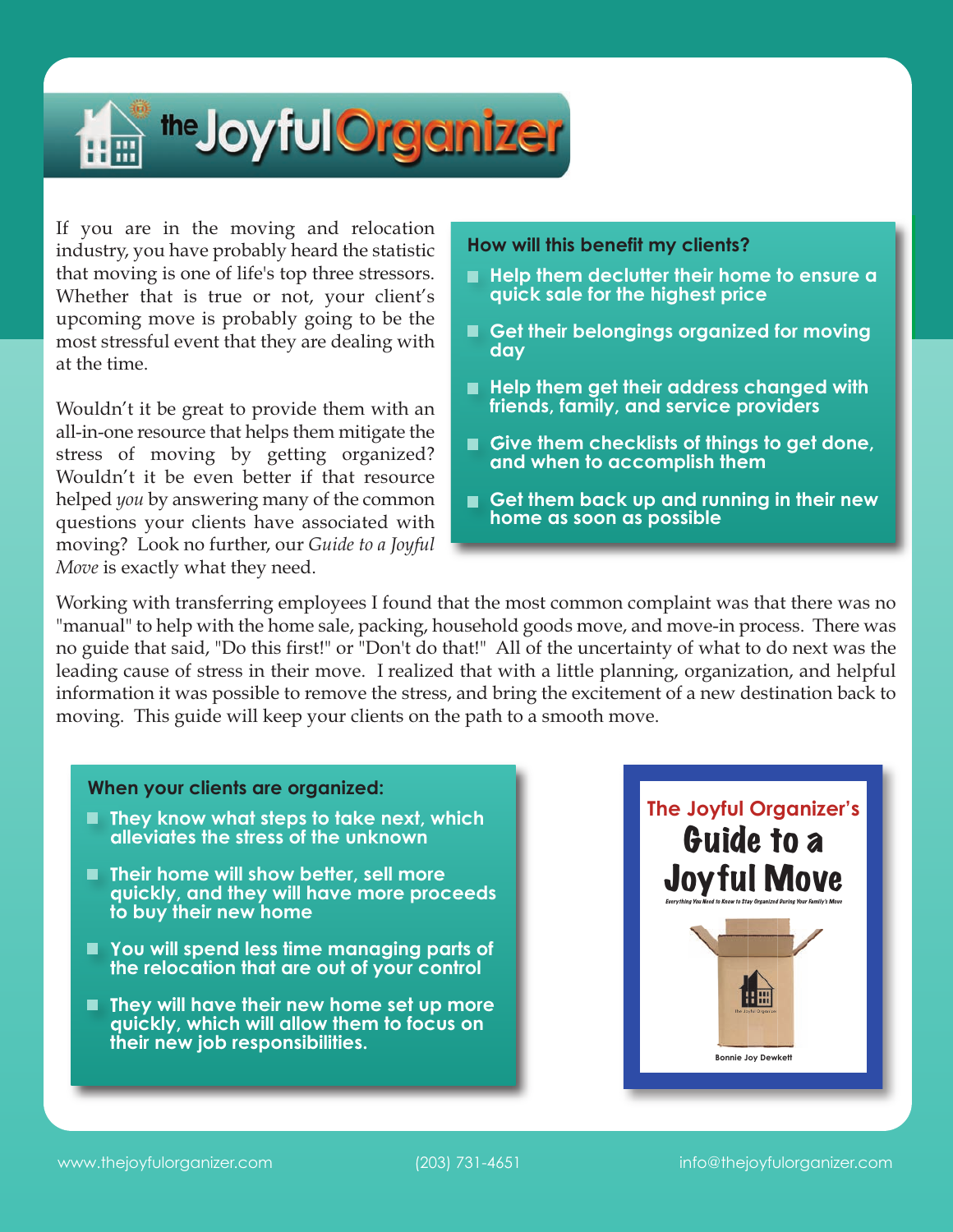

If you are in the moving and relocation industry, you have probably heard the statistic that moving is one of life's top three stressors. Whether that is true or not, your client's upcoming move is probably going to be the most stressful event that they are dealing with at the time.

Wouldn't it be great to provide them with an all-in-one resource that helps them mitigate the stress of moving by getting organized? Wouldn't it be even better if that resource helped *you* by answering many of the common questions your clients have associated with moving? Look no further, our *Guide to a Joyful Move* is exactly what they need.

## **How will this benefit my clients?**

- **Help them declutter their home to ensure a quick sale for the highest price**
- **Get their belongings organized for moving day**
- **Help them get their address changed with friends, family, and service providers**
- **Give them checklists of things to get done, and when to accomplish them**
- **Get them back up and running in their new home as soon as possible**

Working with transferring employees I found that the most common complaint was that there was no "manual" to help with the home sale, packing, household goods move, and move-in process. There was no guide that said, "Do this first!" or "Don't do that!" All of the uncertainty of what to do next was the leading cause of stress in their move. I realized that with a little planning, organization, and helpful information it was possible to remove the stress, and bring the excitement of a new destination back to moving. This guide will keep your clients on the path to a smooth move.

## **When your clients are organized:**

- **They know what steps to take next, which alleviates the stress of the unknown**
- **Their home will show better, sell more quickly, and they will have more proceeds to buy their new home**
- **You will spend less time managing parts of the relocation that are out of your control**
- **They will have their new home set up more quickly, which will allow them to focus on their new job responsibilities.**